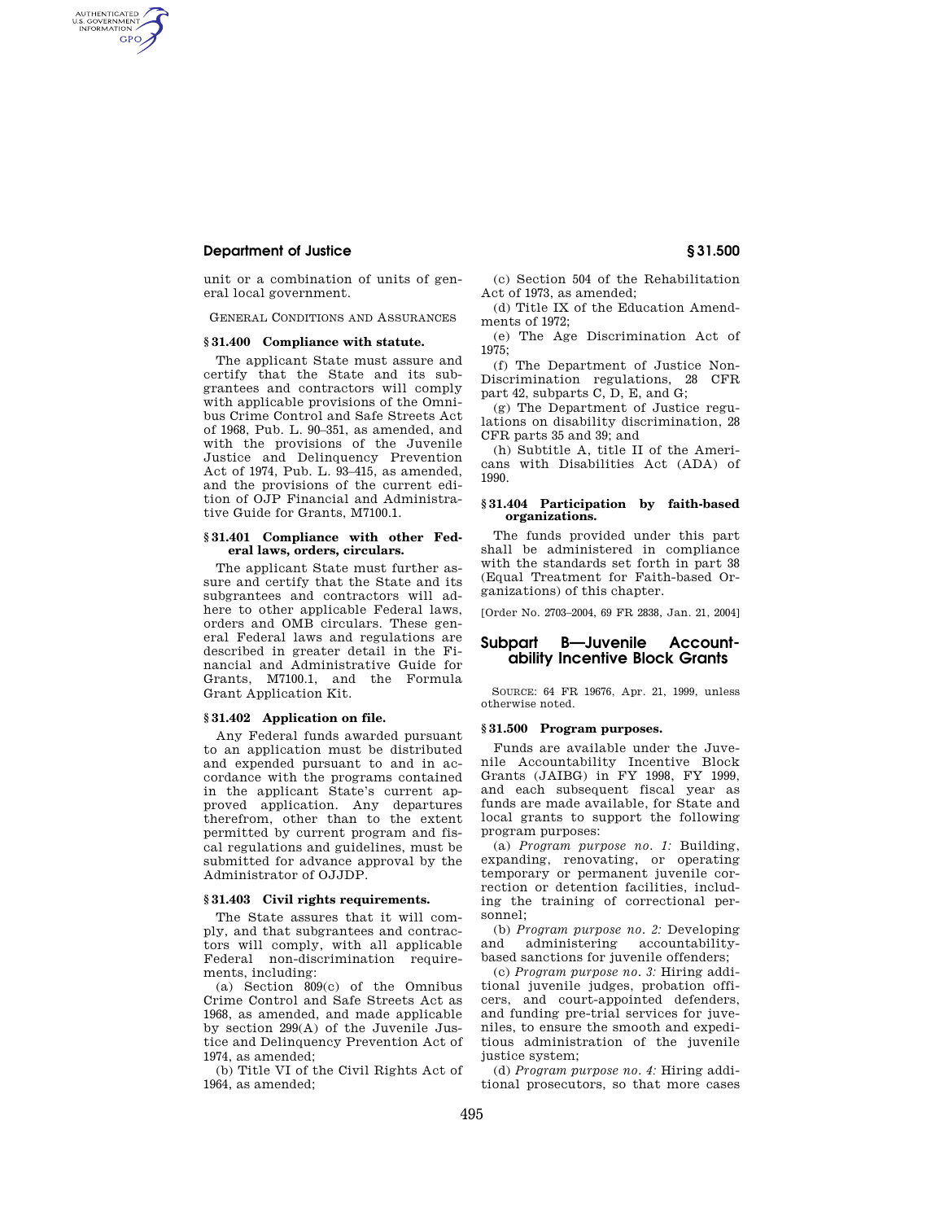### **Department of Justice § 31.500**

AUTHENTICATED<br>U.S. GOVERNMENT<br>INFORMATION **GPO** 

> unit or a combination of units of general local government.

GENERAL CONDITIONS AND ASSURANCES

#### **§ 31.400 Compliance with statute.**

The applicant State must assure and certify that the State and its subgrantees and contractors will comply with applicable provisions of the Omnibus Crime Control and Safe Streets Act of 1968, Pub. L. 90–351, as amended, and with the provisions of the Juvenile Justice and Delinquency Prevention Act of 1974, Pub. L. 93–415, as amended, and the provisions of the current edition of OJP Financial and Administrative Guide for Grants, M7100.1.

#### **§ 31.401 Compliance with other Federal laws, orders, circulars.**

The applicant State must further assure and certify that the State and its subgrantees and contractors will adhere to other applicable Federal laws, orders and OMB circulars. These general Federal laws and regulations are described in greater detail in the Financial and Administrative Guide for Grants, M7100.1, and the Formula Grant Application Kit.

### **§ 31.402 Application on file.**

Any Federal funds awarded pursuant to an application must be distributed and expended pursuant to and in accordance with the programs contained in the applicant State's current approved application. Any departures therefrom, other than to the extent permitted by current program and fiscal regulations and guidelines, must be submitted for advance approval by the Administrator of OJJDP.

### **§ 31.403 Civil rights requirements.**

The State assures that it will comply, and that subgrantees and contractors will comply, with all applicable Federal non-discrimination requirements, including:

(a) Section 809(c) of the Omnibus Crime Control and Safe Streets Act as 1968, as amended, and made applicable by section 299(A) of the Juvenile Justice and Delinquency Prevention Act of  $1974$  as amended;

(b) Title VI of the Civil Rights Act of 1964, as amended;

(c) Section 504 of the Rehabilitation Act of 1973, as amended;

(d) Title IX of the Education Amendments of 1972;

(e) The Age Discrimination Act of 1975;

(f) The Department of Justice Non-Discrimination regulations, 28 CFR part 42, subparts C, D, E, and G;

(g) The Department of Justice regulations on disability discrimination, 28 CFR parts 35 and 39; and

(h) Subtitle A, title II of the Americans with Disabilities Act (ADA) of 1990.

### **§ 31.404 Participation by faith-based organizations.**

The funds provided under this part shall be administered in compliance with the standards set forth in part 38 (Equal Treatment for Faith-based Organizations) of this chapter.

[Order No. 2703–2004, 69 FR 2838, Jan. 21, 2004]

## **Subpart B—Juvenile Accountability Incentive Block Grants**

SOURCE: 64 FR 19676, Apr. 21, 1999, unless otherwise noted.

#### **§ 31.500 Program purposes.**

Funds are available under the Juvenile Accountability Incentive Block Grants (JAIBG) in FY 1998, FY 1999, and each subsequent fiscal year as funds are made available, for State and local grants to support the following program purposes:

(a) *Program purpose no. 1:* Building, expanding, renovating, or operating temporary or permanent juvenile correction or detention facilities, including the training of correctional personnel;

(b) *Program purpose no. 2:* Developing and administering accountabilitybased sanctions for juvenile offenders;

(c) *Program purpose no. 3:* Hiring additional juvenile judges, probation officers, and court-appointed defenders, and funding pre-trial services for juveniles, to ensure the smooth and expeditious administration of the juvenile justice system;

(d) *Program purpose no. 4:* Hiring additional prosecutors, so that more cases